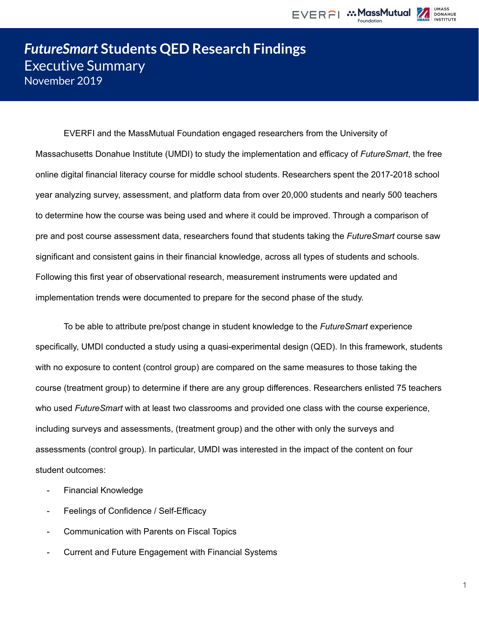

**DONAHUE** 



EVERFI and the MassMutual Foundation engaged researchers from the University of Massachusetts Donahue Institute (UMDI) to study the implementation and efficacy of *FutureSmart*, the free online digital financial literacy course for middle school students. Researchers spent the 2017-2018 school year analyzing survey, assessment, and platform data from over 20,000 students and nearly 500 teachers to determine how the course was being used and where it could be improved. Through a comparison of pre and post course assessment data, researchers found that students taking the *FutureSmart* course saw significant and consistent gains in their financial knowledge, across all types of students and schools. Following this first year of observational research, measurement instruments were updated and implementation trends were documented to prepare for the second phase of the study.

To be able to attribute pre/post change in student knowledge to the *FutureSmart* experience specifically, UMDI conducted a study using a quasi-experimental design (QED). In this framework, students with no exposure to content (control group) are compared on the same measures to those taking the course (treatment group) to determine if there are any group differences. Researchers enlisted 75 teachers who used *FutureSmart* with at least two classrooms and provided one class with the course experience, including surveys and assessments, (treatment group) and the other with only the surveys and assessments (control group). In particular, UMDI was interested in the impact of the content on four student outcomes:

- Financial Knowledge
- Feelings of Confidence / Self-Efficacy
- Communication with Parents on Fiscal Topics
- Current and Future Engagement with Financial Systems

1